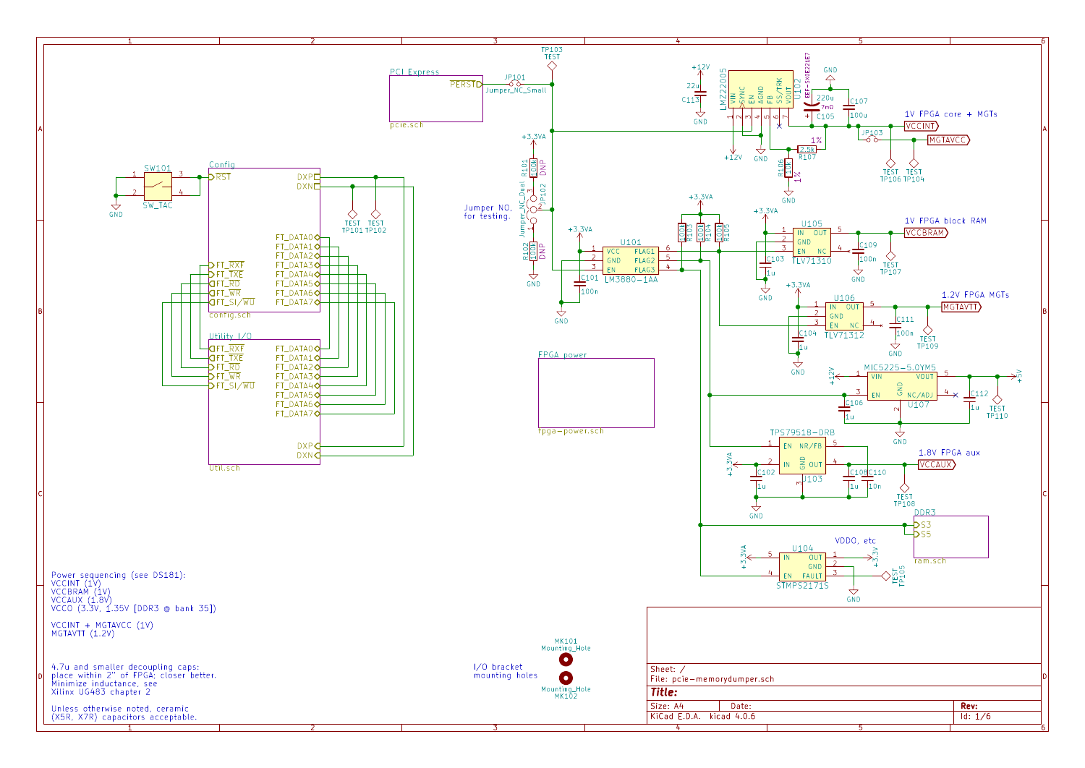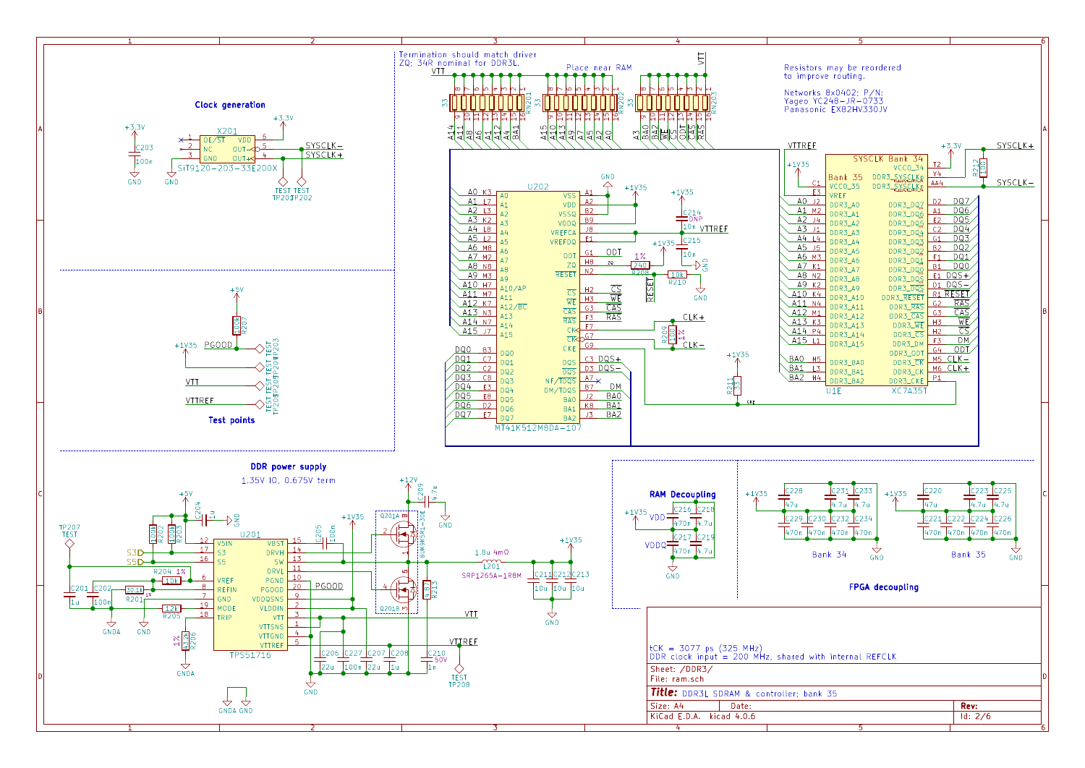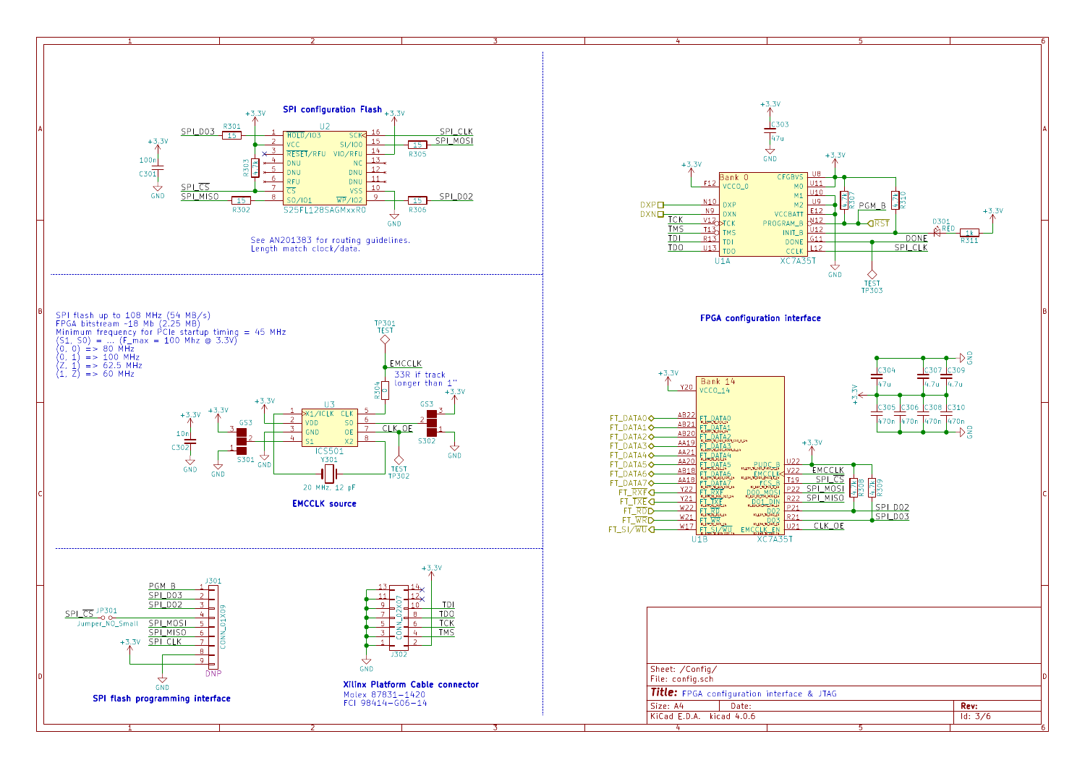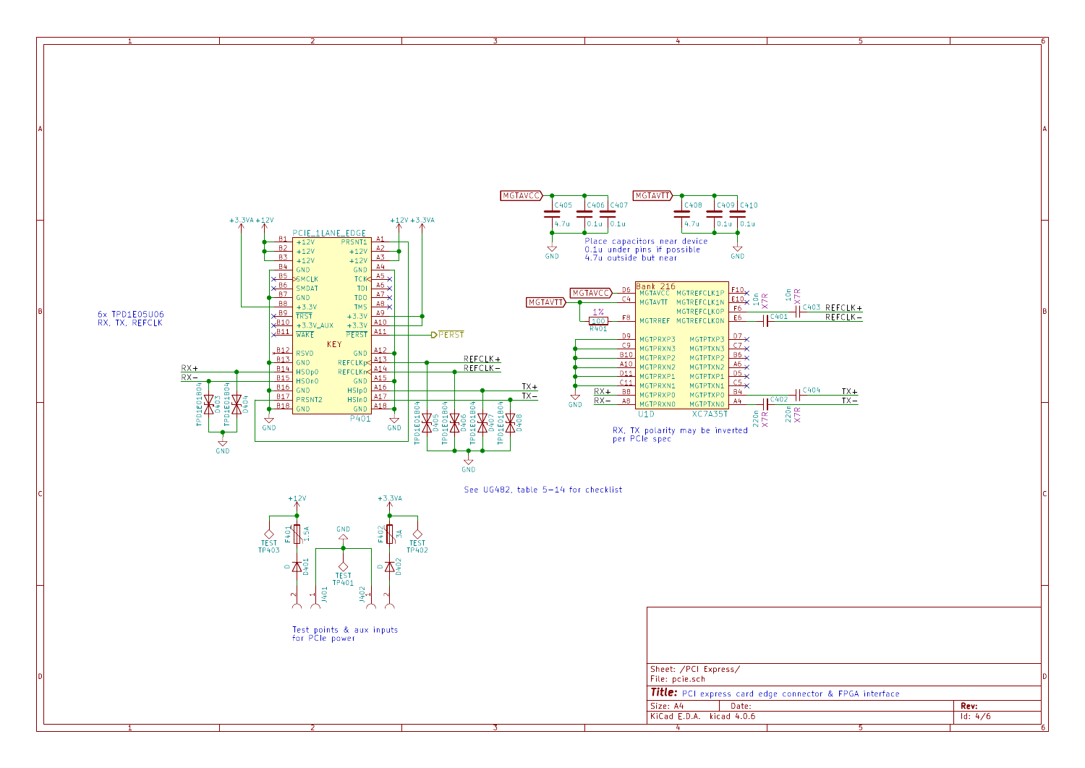

1 and 1 and 1 and 1 and 1 and 1 and 1 and 1 and 1 and 1 and 1 and 1 and 1 and 1 and 1 and 1 and 1 and 1 and 1 and 1 and 1 and 1 and 1 and 1 and 1 and 1 and 1 and 1 and 1 and 1 and 1 and 1 and 1 and 1 and 1 and 1 and 1 and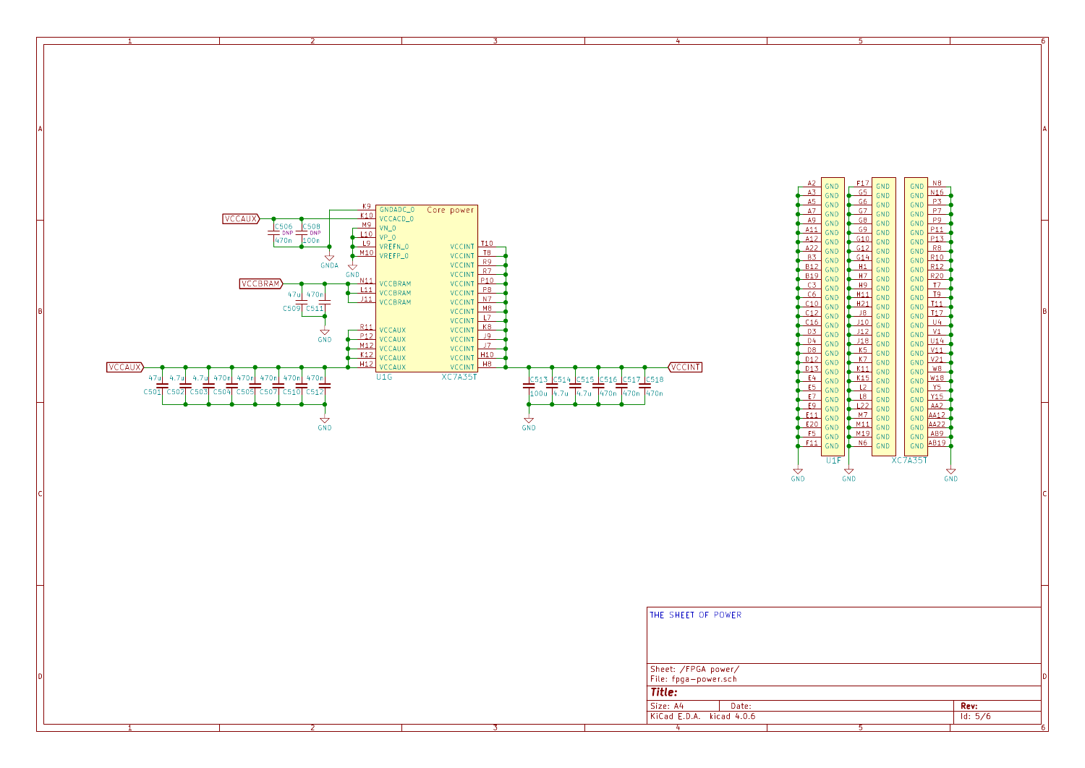

1 and 1 and 1 and 1 and 1 and 1 and 1 and 1 and 1 and 1 and 1 and 1 and 1 and 1 and 1 and 1 and 1 and 1 and 1 and 1 and 1 and 1 and 1 and 1 and 1 and 1 and 1 and 1 and 1 and 1 and 1 and 1 and 1 and 1 and 1 and 1 and 1 and